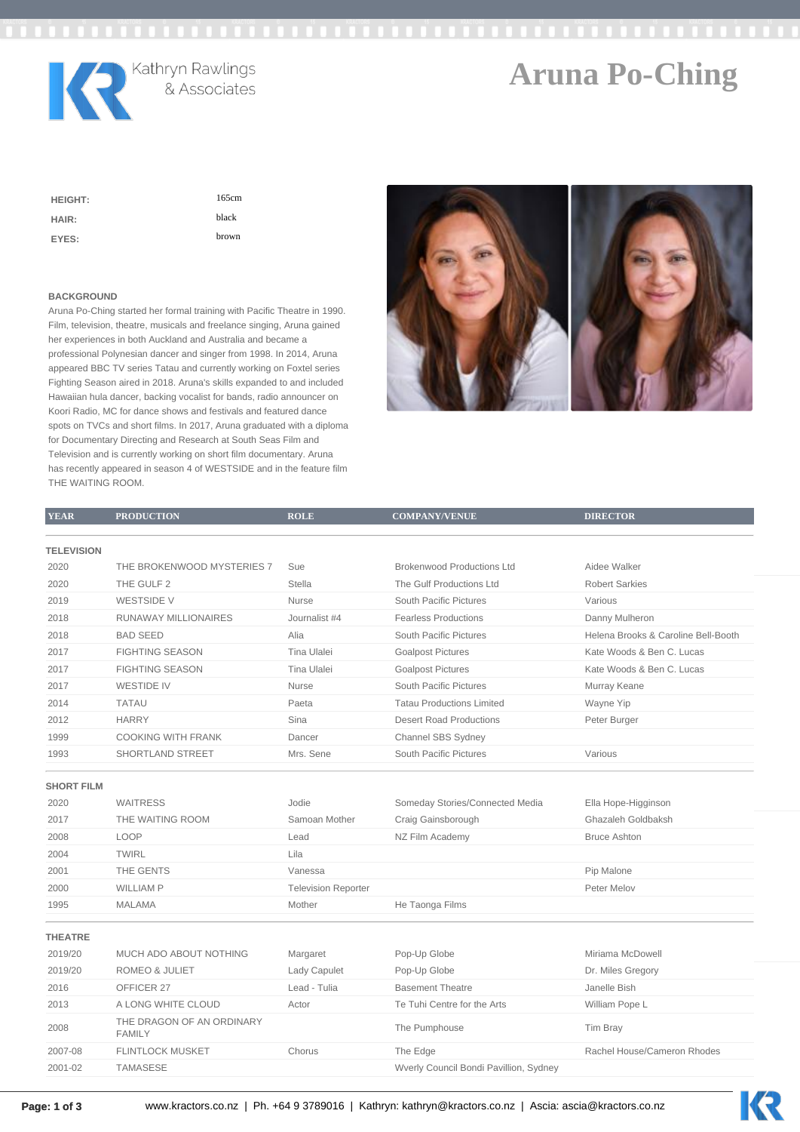

# **Aruna Po-Ching**

KR

| <b>HEIGHT:</b> | 165cm |
|----------------|-------|
| HAIR:          | black |
| EYES:          | brown |

### **BACKGROUND**

Aruna Po-Ching started her formal training with Pacific Theatre in 1990. Film, television, theatre, musicals and freelance singing, Aruna gained her experiences in both Auckland and Australia and became a professional Polynesian dancer and singer from 1998. In 2014, Aruna appeared BBC TV series Tatau and currently working on Foxtel series Fighting Season aired in 2018. Aruna's skills expanded to and included Hawaiian hula dancer, backing vocalist for bands, radio announcer on Koori Radio, MC for dance shows and festivals and featured dance spots on TVCs and short films. In 2017, Aruna graduated with a diploma for Documentary Directing and Research at South Seas Film and Television and is currently working on short film documentary. Aruna has recently appeared in season 4 of WESTSIDE and in the feature film THE WAITING ROOM.



| <b>YEAR</b>       | <b>PRODUCTION</b>                          | <b>ROLE</b>                | <b>COMPANY/VENUE</b>              | <b>DIRECTOR</b>                     |
|-------------------|--------------------------------------------|----------------------------|-----------------------------------|-------------------------------------|
|                   |                                            |                            |                                   |                                     |
| <b>TELEVISION</b> |                                            |                            |                                   |                                     |
| 2020              | THE BROKENWOOD MYSTERIES 7                 | Sue                        | <b>Brokenwood Productions Ltd</b> | Aidee Walker                        |
| 2020              | THE GULF 2                                 | <b>Stella</b>              | The Gulf Productions Ltd          | <b>Robert Sarkies</b>               |
| 2019              | <b>WESTSIDE V</b>                          | Nurse                      | South Pacific Pictures            | Various                             |
| 2018              | RUNAWAY MILLIONAIRES                       | Journalist #4              | <b>Fearless Productions</b>       | Danny Mulheron                      |
| 2018              | <b>BAD SEED</b>                            | Alia                       | South Pacific Pictures            | Helena Brooks & Caroline Bell-Booth |
| 2017              | <b>FIGHTING SEASON</b>                     | Tina Ulalei                | <b>Goalpost Pictures</b>          | Kate Woods & Ben C. Lucas           |
| 2017              | <b>FIGHTING SEASON</b>                     | Tina Ulalei                | <b>Goalpost Pictures</b>          | Kate Woods & Ben C. Lucas           |
| 2017              | <b>WESTIDE IV</b>                          | Nurse                      | South Pacific Pictures            | Murray Keane                        |
| 2014              | <b>TATAU</b>                               | Paeta                      | <b>Tatau Productions Limited</b>  | Wayne Yip                           |
| 2012              | <b>HARRY</b>                               | Sina                       | <b>Desert Road Productions</b>    | Peter Burger                        |
| 1999              | <b>COOKING WITH FRANK</b>                  | Dancer                     | Channel SBS Sydney                |                                     |
| 1993              | SHORTLAND STREET                           | Mrs. Sene                  | South Pacific Pictures            | Various                             |
|                   |                                            |                            |                                   |                                     |
| <b>SHORT FILM</b> |                                            |                            |                                   |                                     |
| 2020              | <b>WAITRESS</b>                            | Jodie                      | Someday Stories/Connected Media   | Ella Hope-Higginson                 |
| 2017              | THE WAITING ROOM                           | Samoan Mother              | Craig Gainsborough                | Ghazaleh Goldbaksh                  |
| 2008              | LOOP                                       | Lead                       | NZ Film Academy                   | <b>Bruce Ashton</b>                 |
| 2004              | <b>TWIRL</b>                               | Lila                       |                                   |                                     |
| 2001              | THE GENTS                                  | Vanessa                    |                                   | Pip Malone                          |
| 2000              | <b>WILLIAM P</b>                           | <b>Television Reporter</b> |                                   | Peter Melov                         |
| 1995              | <b>MALAMA</b>                              | Mother                     | He Taonga Films                   |                                     |
| <b>THEATRE</b>    |                                            |                            |                                   |                                     |
| 2019/20           | MUCH ADO ABOUT NOTHING                     | Margaret                   | Pop-Up Globe                      | Miriama McDowell                    |
| 2019/20           | <b>ROMEO &amp; JULIET</b>                  | Lady Capulet               | Pop-Up Globe                      | Dr. Miles Gregory                   |
| 2016              | OFFICER 27                                 | Lead - Tulia               | <b>Basement Theatre</b>           | Janelle Bish                        |
| 2013              | A LONG WHITE CLOUD                         | Actor                      | Te Tuhi Centre for the Arts       | William Pope L                      |
|                   |                                            |                            |                                   |                                     |
| 2008              | THE DRAGON OF AN ORDINARY<br><b>FAMILY</b> |                            | The Pumphouse                     | Tim Bray                            |
| 2007-08           | <b>FLINTLOCK MUSKET</b>                    | Chorus                     | The Edge                          | Rachel House/Cameron Rhodes         |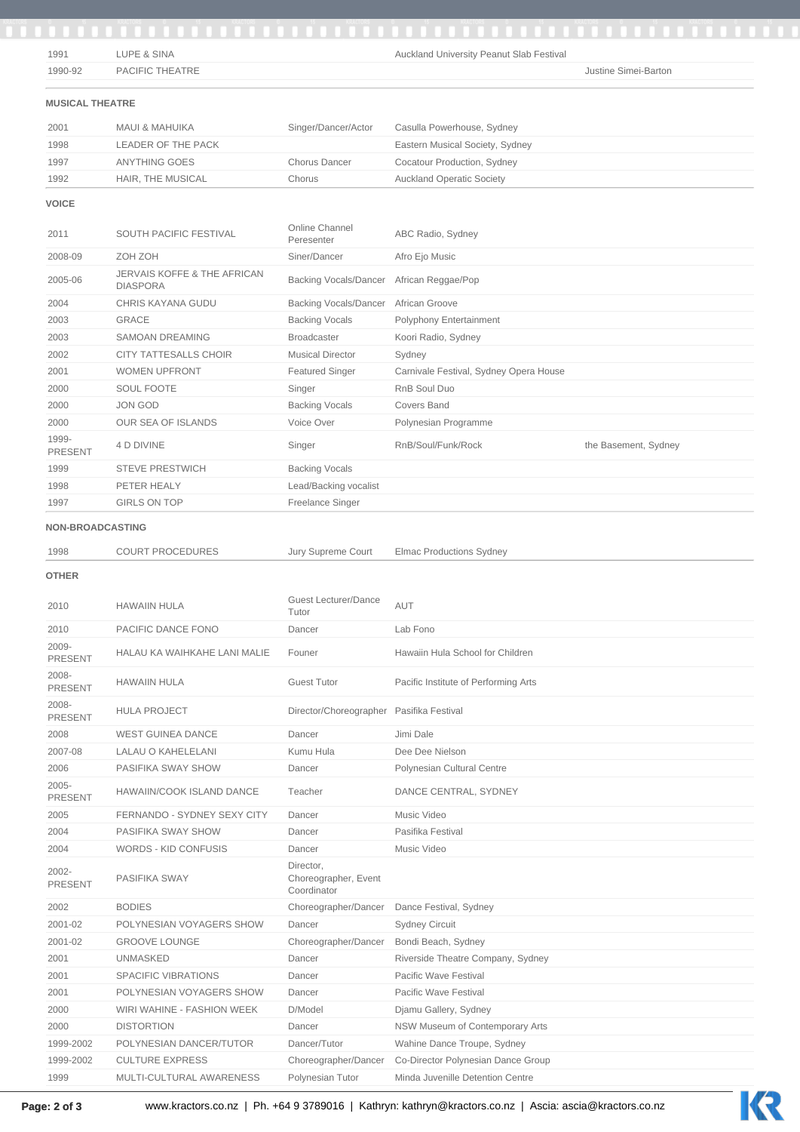| 1991                    | LUPE & SINA                                               |                                                  | Auckland University Peanut Slab Festival                               |                      |
|-------------------------|-----------------------------------------------------------|--------------------------------------------------|------------------------------------------------------------------------|----------------------|
| 1990-92                 | PACIFIC THEATRE                                           |                                                  |                                                                        | Justine Simei-Barton |
| <b>MUSICAL THEATRE</b>  |                                                           |                                                  |                                                                        |                      |
|                         |                                                           |                                                  |                                                                        |                      |
| 2001                    | <b>MAUI &amp; MAHUIKA</b>                                 | Singer/Dancer/Actor                              | Casulla Powerhouse, Sydney                                             |                      |
| 1998                    | LEADER OF THE PACK                                        |                                                  | Eastern Musical Society, Sydney                                        |                      |
| 1997                    | <b>ANYTHING GOES</b>                                      | <b>Chorus Dancer</b>                             | Cocatour Production, Sydney                                            |                      |
| 1992                    | HAIR, THE MUSICAL                                         | Chorus                                           | <b>Auckland Operatic Society</b>                                       |                      |
| <b>VOICE</b>            |                                                           |                                                  |                                                                        |                      |
| 2011                    | SOUTH PACIFIC FESTIVAL                                    | Online Channel<br>Peresenter                     | ABC Radio, Sydney                                                      |                      |
| 2008-09                 | ZOH ZOH                                                   | Siner/Dancer                                     | Afro Ejo Music                                                         |                      |
| 2005-06                 | <b>JERVAIS KOFFE &amp; THE AFRICAN</b><br><b>DIASPORA</b> | <b>Backing Vocals/Dancer</b>                     | African Reggae/Pop                                                     |                      |
| 2004                    | CHRIS KAYANA GUDU                                         | <b>Backing Vocals/Dancer</b>                     | African Groove                                                         |                      |
| 2003                    | <b>GRACE</b>                                              | <b>Backing Vocals</b>                            | Polyphony Entertainment                                                |                      |
| 2003                    | <b>SAMOAN DREAMING</b>                                    | <b>Broadcaster</b>                               | Koori Radio, Sydney                                                    |                      |
| 2002                    | <b>CITY TATTESALLS CHOIR</b>                              | <b>Musical Director</b>                          | Sydney                                                                 |                      |
| 2001                    | <b>WOMEN UPFRONT</b>                                      | <b>Featured Singer</b>                           | Carnivale Festival, Sydney Opera House                                 |                      |
| 2000                    | SOUL FOOTE                                                | Singer                                           | RnB Soul Duo                                                           |                      |
| 2000                    | <b>JON GOD</b>                                            | <b>Backing Vocals</b>                            | <b>Covers Band</b>                                                     |                      |
| 2000                    | OUR SEA OF ISLANDS                                        | Voice Over                                       | Polynesian Programme                                                   |                      |
| 1999-<br><b>PRESENT</b> | 4 D DIVINE                                                | Singer                                           | RnB/Soul/Funk/Rock                                                     | the Basement, Sydney |
| 1999                    | <b>STEVE PRESTWICH</b>                                    | <b>Backing Vocals</b>                            |                                                                        |                      |
| 1998                    | PETER HEALY                                               | Lead/Backing vocalist                            |                                                                        |                      |
| 1997                    | <b>GIRLS ON TOP</b>                                       | Freelance Singer                                 |                                                                        |                      |
|                         |                                                           |                                                  |                                                                        |                      |
| <b>NON-BROADCASTING</b> |                                                           |                                                  |                                                                        |                      |
| 1998                    | <b>COURT PROCEDURES</b>                                   | Jury Supreme Court                               | <b>Elmac Productions Sydney</b>                                        |                      |
| 2010                    | <b>HAWAIIN HULA</b>                                       | Guest Lecturer/Dance<br>Tutor                    | AUT                                                                    |                      |
| 2010                    | PACIFIC DANCE FONO                                        | Dancer                                           | Lab Fono                                                               |                      |
| 2009-<br><b>PRESENT</b> | HALAU KA WAIHKAHE LANI MALIE                              | Founer                                           | Hawaiin Hula School for Children                                       |                      |
| 2008-<br><b>PRESENT</b> | <b>HAWAIIN HULA</b>                                       | <b>Guest Tutor</b>                               | Pacific Institute of Performing Arts                                   |                      |
| 2008-<br>PRESENT        | <b>HULA PROJECT</b>                                       | Director/Choreographer Pasifika Festival         |                                                                        |                      |
| 2008                    | <b>WEST GUINEA DANCE</b>                                  | Dancer                                           | Jimi Dale                                                              |                      |
| 2007-08                 | LALAU O KAHELELANI                                        | Kumu Hula                                        | Dee Dee Nielson                                                        |                      |
| 2006                    | PASIFIKA SWAY SHOW                                        | Dancer                                           | Polynesian Cultural Centre                                             |                      |
| 2005-<br>PRESENT        | HAWAIIN/COOK ISLAND DANCE                                 | Teacher                                          | DANCE CENTRAL, SYDNEY                                                  |                      |
| 2005                    | FERNANDO - SYDNEY SEXY CITY                               | Dancer                                           | Music Video                                                            |                      |
| 2004                    | PASIFIKA SWAY SHOW                                        | Dancer                                           | Pasifika Festival                                                      |                      |
| 2004                    | WORDS - KID CONFUSIS                                      | Dancer                                           | Music Video                                                            |                      |
| 2002-<br><b>PRESENT</b> | PASIFIKA SWAY                                             | Director,<br>Choreographer, Event<br>Coordinator |                                                                        |                      |
| 2002                    | <b>BODIES</b>                                             | Choreographer/Dancer                             | Dance Festival, Sydney                                                 |                      |
| 2001-02                 | POLYNESIAN VOYAGERS SHOW                                  | Dancer                                           | <b>Sydney Circuit</b>                                                  |                      |
| 2001-02                 | <b>GROOVE LOUNGE</b>                                      | Choreographer/Dancer                             | Bondi Beach, Sydney                                                    |                      |
| 2001                    | <b>UNMASKED</b>                                           | Dancer                                           | Riverside Theatre Company, Sydney                                      |                      |
| 2001                    | SPACIFIC VIBRATIONS                                       | Dancer                                           | Pacific Wave Festival                                                  |                      |
| 2001                    | POLYNESIAN VOYAGERS SHOW                                  | Dancer                                           | Pacific Wave Festival                                                  |                      |
|                         |                                                           |                                                  |                                                                        |                      |
| 2000                    | WIRI WAHINE - FASHION WEEK                                | D/Model                                          | Djamu Gallery, Sydney                                                  |                      |
| 2000                    |                                                           |                                                  |                                                                        |                      |
|                         | <b>DISTORTION</b>                                         | Dancer                                           | NSW Museum of Contemporary Arts                                        |                      |
| 1999-2002               | POLYNESIAN DANCER/TUTOR                                   | Dancer/Tutor                                     | Wahine Dance Troupe, Sydney                                            |                      |
| 1999-2002<br>1999       | <b>CULTURE EXPRESS</b><br>MULTI-CULTURAL AWARENESS        | Choreographer/Dancer<br>Polynesian Tutor         | Co-Director Polynesian Dance Group<br>Minda Juvenille Detention Centre |                      |